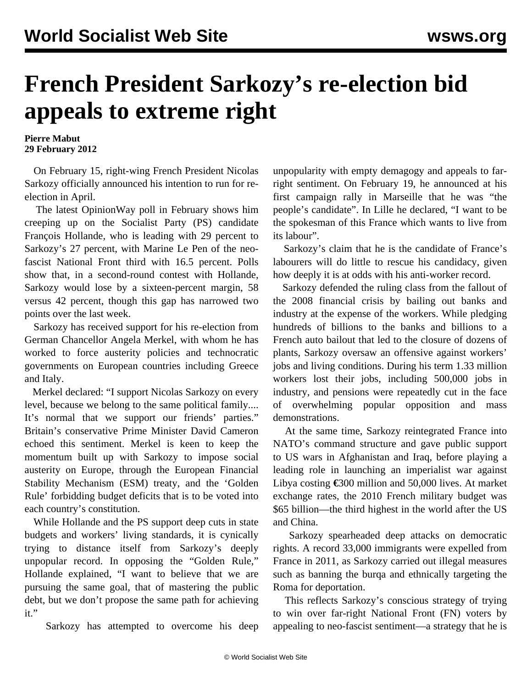## **French President Sarkozy's re-election bid appeals to extreme right**

**Pierre Mabut 29 February 2012**

 On February 15, right-wing French President Nicolas Sarkozy officially announced his intention to run for reelection in April.

 The latest OpinionWay poll in February shows him creeping up on the Socialist Party (PS) candidate François Hollande, who is leading with 29 percent to Sarkozy's 27 percent, with Marine Le Pen of the neofascist National Front third with 16.5 percent. Polls show that, in a second-round contest with Hollande, Sarkozy would lose by a sixteen-percent margin, 58 versus 42 percent, though this gap has narrowed two points over the last week.

 Sarkozy has received support for his re-election from German Chancellor Angela Merkel, with whom he has worked to force austerity policies and technocratic governments on European countries including Greece and Italy.

 Merkel declared: "I support Nicolas Sarkozy on every level, because we belong to the same political family.... It's normal that we support our friends' parties." Britain's conservative Prime Minister David Cameron echoed this sentiment. Merkel is keen to keep the momentum built up with Sarkozy to impose social austerity on Europe, through the European Financial Stability Mechanism (ESM) treaty, and the 'Golden Rule' forbidding budget deficits that is to be voted into each country's constitution.

 While Hollande and the PS support deep cuts in state budgets and workers' living standards, it is cynically trying to distance itself from Sarkozy's deeply unpopular record. In opposing the "Golden Rule," Hollande explained, "I want to believe that we are pursuing the same goal, that of mastering the public debt, but we don't propose the same path for achieving it."

Sarkozy has attempted to overcome his deep

unpopularity with empty demagogy and appeals to farright sentiment. On February 19, he announced at his first campaign rally in Marseille that he was "the people's candidate". In Lille he declared, "I want to be the spokesman of this France which wants to live from its labour".

 Sarkozy's claim that he is the candidate of France's labourers will do little to rescue his candidacy, given how deeply it is at odds with his anti-worker record.

 Sarkozy defended the ruling class from the fallout of the 2008 financial crisis by bailing out banks and industry at the expense of the workers. While pledging hundreds of billions to the banks and billions to a French auto bailout that led to the closure of dozens of plants, Sarkozy oversaw an offensive against workers' jobs and living conditions. During his term 1.33 million workers lost their jobs, including 500,000 jobs in industry, and pensions were repeatedly cut in the face of overwhelming popular opposition and mass demonstrations.

 At the same time, Sarkozy reintegrated France into NATO's command structure and gave public support to US wars in Afghanistan and Iraq, before playing a leading role in launching an imperialist war against Libya costing **€**300 million and 50,000 lives. At market exchange rates, the 2010 French military budget was \$65 billion—the third highest in the world after the US and China.

 Sarkozy spearheaded deep attacks on democratic rights. A record 33,000 immigrants were expelled from France in 2011, as Sarkozy carried out illegal measures such as banning the burqa and ethnically targeting the Roma for deportation.

 This reflects Sarkozy's conscious strategy of trying to win over far-right National Front (FN) voters by appealing to neo-fascist sentiment—a strategy that he is